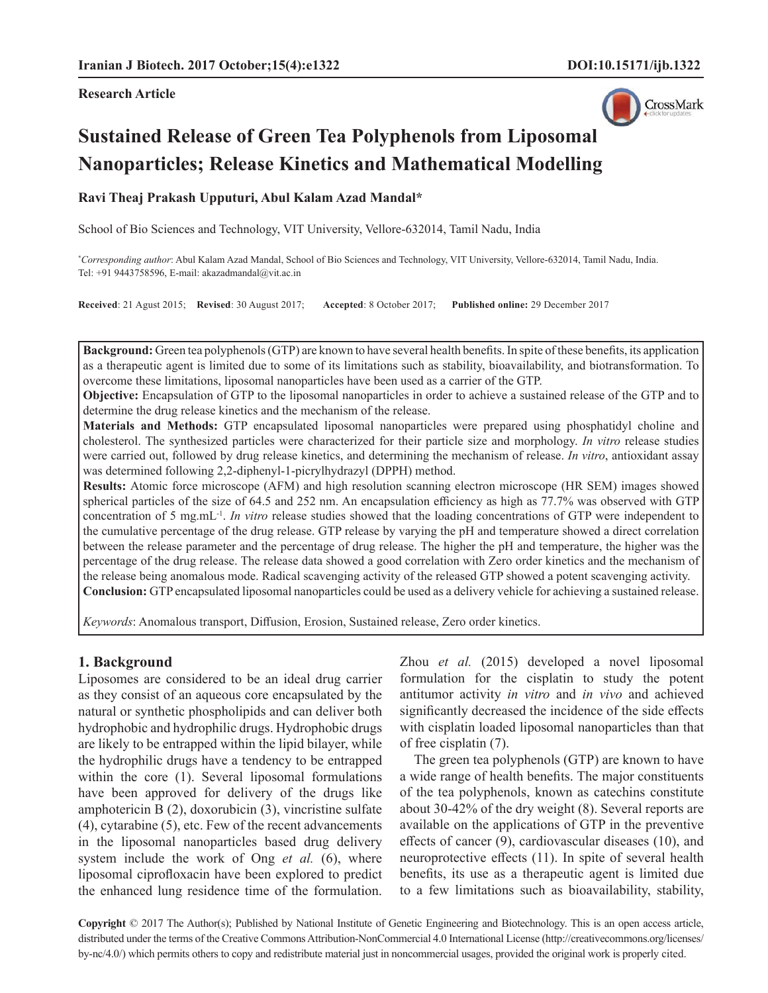#### **Research Article**



# **Sustained Release of Green Tea Polyphenols from Liposoma[l](http://crossmark.crossref.org/dialog/?doi=10.15171/ijb.1322&domain=pdf&date_stamp=2017-12-29)  Nanoparticles; Release Kinetics and Mathematical Modelling**

**Ravi Theaj Prakash Upputuri, Abul Kalam Azad Mandal\***

School of Bio Sciences and Technology, VIT University, Vellore-632014, Tamil Nadu, India

\* *Corresponding author*: Abul Kalam Azad Mandal, School of Bio Sciences and Technology, VIT University, Vellore-632014, Tamil Nadu, India. Tel: +91 9443758596, E-mail: akazadmandal@vit.ac.in

**Received**: 21 Agust 2015; **Revised**: 30 August 2017; **Accepted**: 8 October 2017; **Published online:** 29 December 2017

**Background:** Green tea polyphenols (GTP) are known to have several health benefits. In spite of these benefits, its application as a therapeutic agent is limited due to some of its limitations such as stability, bioavailability, and biotransformation. To overcome these limitations, liposomal nanoparticles have been used as a carrier of the GTP.

**Objective:** Encapsulation of GTP to the liposomal nanoparticles in order to achieve a sustained release of the GTP and to determine the drug release kinetics and the mechanism of the release.

**Materials and Methods:** GTP encapsulated liposomal nanoparticles were prepared using phosphatidyl choline and cholesterol. The synthesized particles were characterized for their particle size and morphology. *In vitro* release studies were carried out, followed by drug release kinetics, and determining the mechanism of release. *In vitro*, antioxidant assay was determined following 2,2-diphenyl-1-picrylhydrazyl (DPPH) method.

**Results:** Atomic force microscope (AFM) and high resolution scanning electron microscope (HR SEM) images showed spherical particles of the size of 64.5 and 252 nm. An encapsulation efficiency as high as 77.7% was observed with GTP concentration of 5 mg.mL-1. *In vitro* release studies showed that the loading concentrations of GTP were independent to the cumulative percentage of the drug release. GTP release by varying the pH and temperature showed a direct correlation between the release parameter and the percentage of drug release. The higher the pH and temperature, the higher was the percentage of the drug release. The release data showed a good correlation with Zero order kinetics and the mechanism of the release being anomalous mode. Radical scavenging activity of the released GTP showed a potent scavenging activity. **Conclusion:** GTP encapsulated liposomal nanoparticles could be used as a delivery vehicle for achieving a sustained release.

*Keywords*: Anomalous transport, Diffusion, Erosion, Sustained release, Zero order kinetics.

### **1. Background**

Liposomes are considered to be an ideal drug carrier as they consist of an aqueous core encapsulated by the natural or synthetic phospholipids and can deliver both hydrophobic and hydrophilic drugs. Hydrophobic drugs are likely to be entrapped within the lipid bilayer, while the hydrophilic drugs have a tendency to be entrapped within the core (1). Several liposomal formulations have been approved for delivery of the drugs like amphotericin B (2), doxorubicin (3), vincristine sulfate (4), cytarabine (5), etc. Few of the recent advancements in the liposomal nanoparticles based drug delivery system include the work of Ong *et al.* (6), where liposomal ciprofloxacin have been explored to predict the enhanced lung residence time of the formulation. Zhou *et al.* (2015) developed a novel liposomal formulation for the cisplatin to study the potent antitumor activity *in vitro* and *in vivo* and achieved significantly decreased the incidence of the side effects with cisplatin loaded liposomal nanoparticles than that of free cisplatin (7).

The green tea polyphenols (GTP) are known to have a wide range of health benefits. The major constituents of the tea polyphenols, known as catechins constitute about 30-42% of the dry weight (8). Several reports are available on the applications of GTP in the preventive effects of cancer  $(9)$ , cardiovascular diseases  $(10)$ , and neuroprotective effects (11). In spite of several health benefits, its use as a therapeutic agent is limited due to a few limitations such as bioavailability, stability,

**Copyright** © 2017 The Author(s); Published by National Institute of Genetic Engineering and Biotechnology. This is an open access article, distributed under the terms of the Creative Commons Attribution-NonCommercial 4.0 International License (http://creativecommons.org/licenses/ by-nc/4.0/) which permits others to copy and redistribute material just in noncommercial usages, provided the original work is properly cited.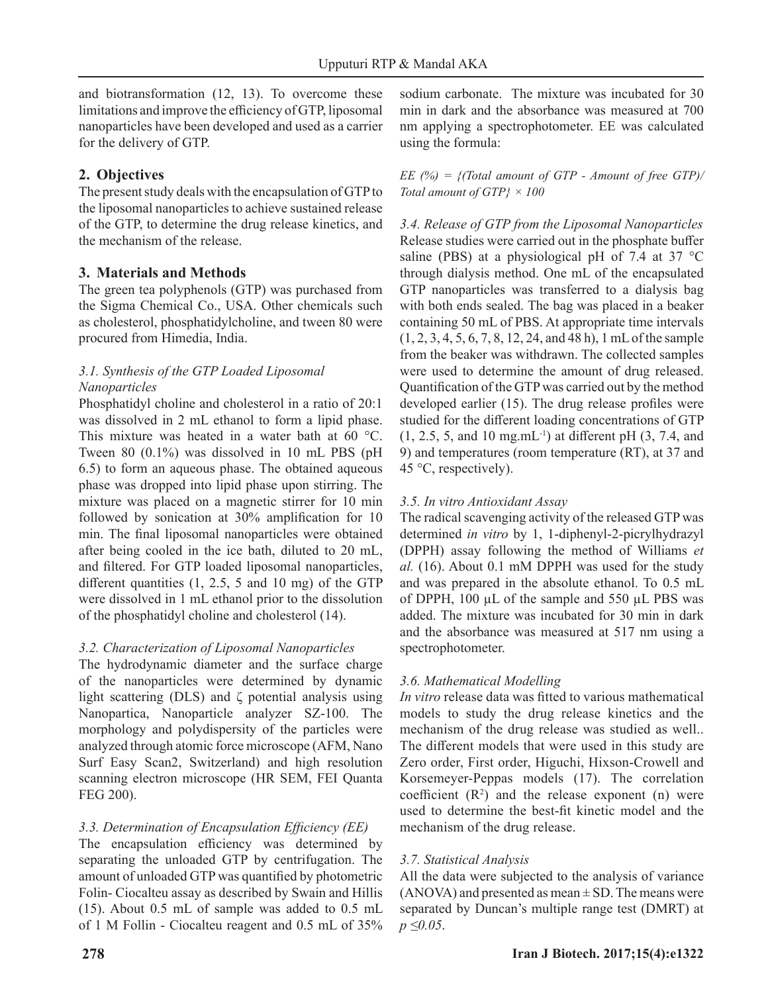and biotransformation (12, 13). To overcome these limitations and improve the efficiency of GTP, liposomal nanoparticles have been developed and used as a carrier for the delivery of GTP.

# **2. Objectives**

The present study deals with the encapsulation of GTP to the liposomal nanoparticles to achieve sustained release of the GTP, to determine the drug release kinetics, and the mechanism of the release.

# **3. Materials and Methods**

The green tea polyphenols (GTP) was purchased from the Sigma Chemical Co., USA. Other chemicals such as cholesterol, phosphatidylcholine, and tween 80 were procured from Himedia, India.

## *3.1. Synthesis of the GTP Loaded Liposomal Nanoparticles*

Phosphatidyl choline and cholesterol in a ratio of 20:1 was dissolved in 2 mL ethanol to form a lipid phase. This mixture was heated in a water bath at 60 °C. Tween 80 (0.1%) was dissolved in 10 mL PBS (pH 6.5) to form an aqueous phase. The obtained aqueous phase was dropped into lipid phase upon stirring. The mixture was placed on a magnetic stirrer for 10 min followed by sonication at  $30\%$  amplification for 10 min. The final liposomal nanoparticles were obtained after being cooled in the ice bath, diluted to 20 mL, and filtered. For GTP loaded liposomal nanoparticles, different quantities  $(1, 2.5, 5 \text{ and } 10 \text{ mg})$  of the GTP were dissolved in 1 mL ethanol prior to the dissolution of the phosphatidyl choline and cholesterol (14).

# *3.2. Characterization of Liposomal Nanoparticles*

The hydrodynamic diameter and the surface charge of the nanoparticles were determined by dynamic light scattering (DLS) and ζ potential analysis using Nanopartica, Nanoparticle analyzer SZ-100. The morphology and polydispersity of the particles were analyzed through atomic force microscope (AFM, Nano Surf Easy Scan2, Switzerland) and high resolution scanning electron microscope (HR SEM, FEI Quanta FEG 200).

# *3.3. Determination of Encapsulation Effi ciency (EE)*

The encapsulation efficiency was determined by separating the unloaded GTP by centrifugation. The amount of unloaded GTP was quantified by photometric Folin- Ciocalteu assay as described by Swain and Hillis (15). About 0.5 mL of sample was added to 0.5 mL of 1 M Follin - Ciocalteu reagent and 0.5 mL of 35% sodium carbonate. The mixture was incubated for 30 min in dark and the absorbance was measured at 700 nm applying a spectrophotometer. EE was calculated using the formula:

*EE (%) = {(Total amount of GTP - Amount of free GTP)/ Total amount of GTP} × 100*

*3.4. Release of GTP from the Liposomal Nanoparticles* Release studies were carried out in the phosphate buffer saline (PBS) at a physiological pH of 7.4 at 37  $\degree$ C through dialysis method. One mL of the encapsulated GTP nanoparticles was transferred to a dialysis bag with both ends sealed. The bag was placed in a beaker containing 50 mL of PBS. At appropriate time intervals (1, 2, 3, 4, 5, 6, 7, 8, 12, 24, and 48 h), 1 mL of the sample from the beaker was withdrawn. The collected samples were used to determine the amount of drug released. Quantification of the GTP was carried out by the method developed earlier  $(15)$ . The drug release profiles were studied for the different loading concentrations of GTP  $(1, 2.5, 5, \text{ and } 10 \text{ mg.mL}^{-1})$  at different pH  $(3, 7.4, \text{ and } 10 \text{ mg.mL}^{-1})$ 9) and temperatures (room temperature (RT), at 37 and 45 °C, respectively).

## *3.5. In vitro Antioxidant Assay*

The radical scavenging activity of the released GTP was determined *in vitro* by 1, 1-diphenyl-2-picrylhydrazyl (DPPH) assay following the method of Williams *et al.* (16). About 0.1 mM DPPH was used for the study and was prepared in the absolute ethanol. To 0.5 mL of DPPH, 100 μL of the sample and 550 μL PBS was added. The mixture was incubated for 30 min in dark and the absorbance was measured at 517 nm using a spectrophotometer.

# *3.6. Mathematical Modelling*

*In vitro* release data was fitted to various mathematical models to study the drug release kinetics and the mechanism of the drug release was studied as well.. The different models that were used in this study are Zero order, First order, Higuchi, Hixson-Crowell and Korsemeyer-Peppas models (17). The correlation coefficient  $(R^2)$  and the release exponent (n) were used to determine the best-fit kinetic model and the mechanism of the drug release.

# *3.7. Statistical Analysis*

All the data were subjected to the analysis of variance  $(ANOVA)$  and presented as mean  $\pm$  SD. The means were separated by Duncan's multiple range test (DMRT) at *p ≤0.05*.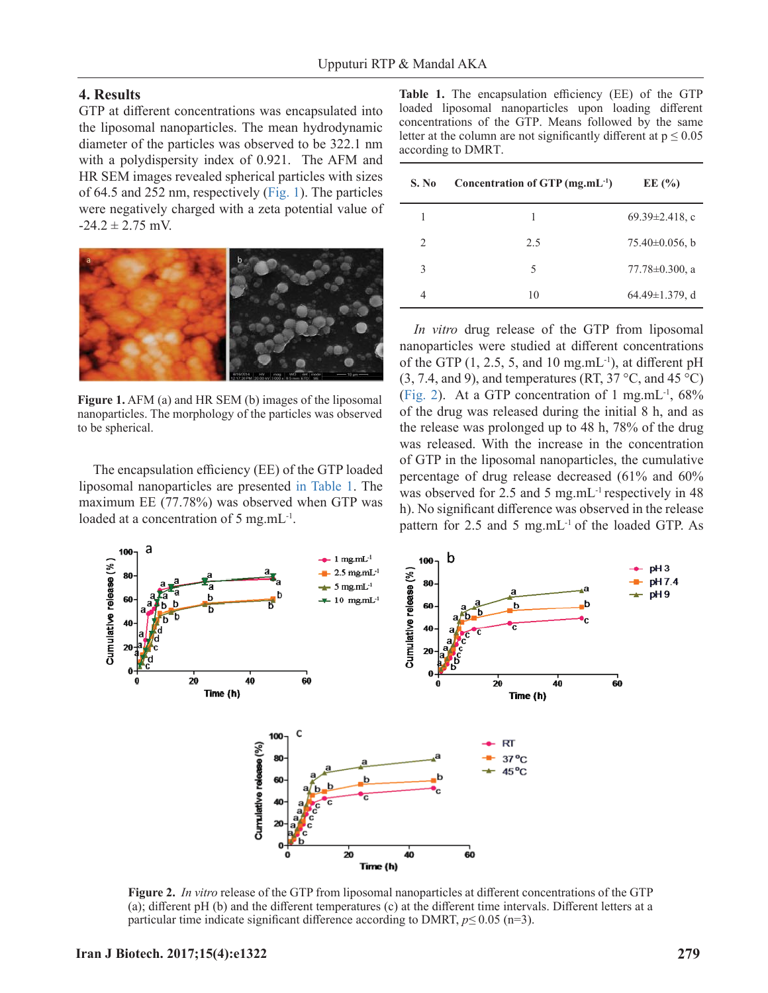### **4. Results**

GTP at different concentrations was encapsulated into the liposomal nanoparticles. The mean hydrodynamic diameter of the particles was observed to be 322.1 nm with a polydispersity index of 0.921. The AFM and HR SEM images revealed spherical particles with sizes of 64.5 and 252 nm, respectively (Fig. 1). The particles were negatively charged with a zeta potential value of  $-24.2 \pm 2.75$  mV.



**Figure 1.** AFM (a) and HR SEM (b) images of the liposomal nanoparticles. The morphology of the particles was observed to be spherical.

The encapsulation efficiency (EE) of the GTP loaded liposomal nanoparticles are presented in Table 1. The maximum EE (77.78%) was observed when GTP was loaded at a concentration of 5 mg.mL<sup>-1</sup>.

Table 1. The encapsulation efficiency (EE) of the GTP loaded liposomal nanoparticles upon loading different concentrations of the GTP. Means followed by the same letter at the column are not significantly different at  $p \le 0.05$ according to DMRT.

| S. No | Concentration of $GTP(mg.mL^{-1})$ | EE $(\% )$            |
|-------|------------------------------------|-----------------------|
| 1     | 1                                  | $69.39 \pm 2.418$ , c |
| 2     | 2.5                                | $75.40\pm0.056$ , b   |
| 3     | 5                                  | $77.78 \pm 0.300$ , a |
|       | 10                                 | $64.49 \pm 1.379$ , d |

*In vitro* drug release of the GTP from liposomal nanoparticles were studied at different concentrations of the GTP  $(1, 2.5, 5, \text{ and } 10 \text{ mg.mL}^{-1})$ , at different pH  $(3, 7.4, \text{ and } 9)$ , and temperatures (RT, 37 °C, and 45 °C) (Fig. 2). At a GTP concentration of 1 mg.mL<sup>-1</sup>,  $68\%$ of the drug was released during the initial 8 h, and as the release was prolonged up to 48 h, 78% of the drug was released. With the increase in the concentration of GTP in the liposomal nanoparticles, the cumulative percentage of drug release decreased (61% and 60% was observed for 2.5 and 5 mg.mL $^{-1}$  respectively in 48 h). No significant difference was observed in the release pattern for  $2.5$  and  $5$  mg.mL $^{-1}$  of the loaded GTP. As



**Figure 2.** *In vitro* release of the GTP from liposomal nanoparticles at different concentrations of the GTP (a); different pH  $(b)$  and the different temperatures  $(c)$  at the different time intervals. Different letters at a particular time indicate significant difference according to DMRT,  $p \le 0.05$  (n=3).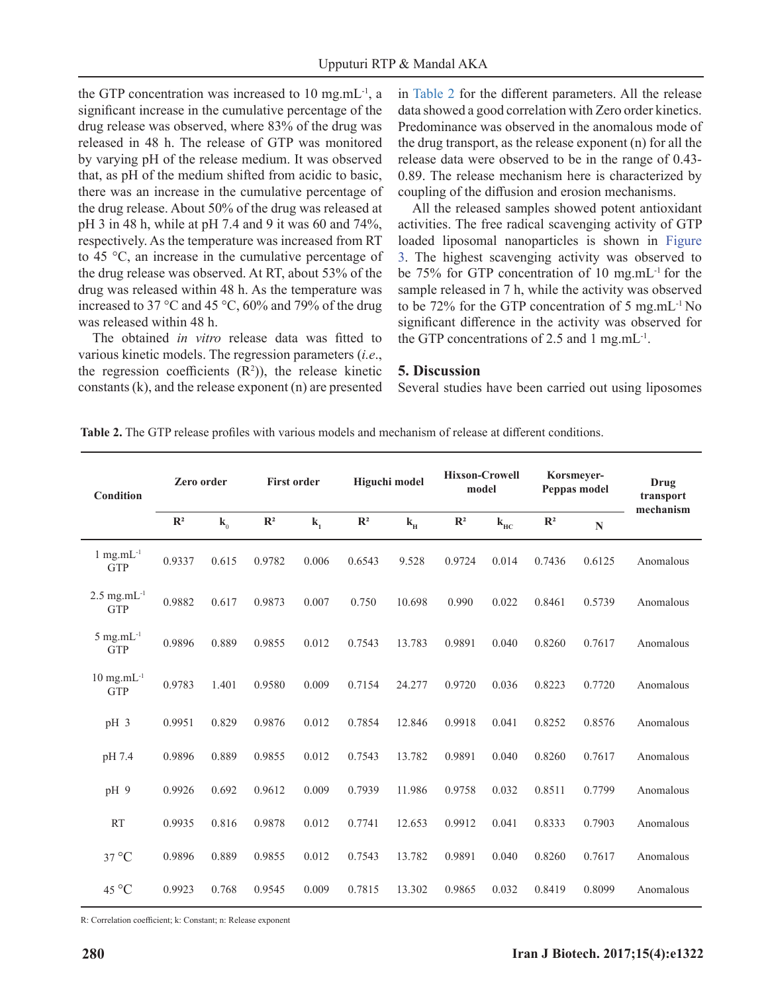the GTP concentration was increased to 10 mg.mL $^{-1}$ , a significant increase in the cumulative percentage of the drug release was observed, where 83% of the drug was released in 48 h. The release of GTP was monitored by varying pH of the release medium. It was observed that, as pH of the medium shifted from acidic to basic, there was an increase in the cumulative percentage of the drug release. About 50% of the drug was released at pH 3 in 48 h, while at pH 7.4 and 9 it was 60 and 74%, respectively. As the temperature was increased from RT to 45 °C, an increase in the cumulative percentage of the drug release was observed. At RT, about 53% of the drug was released within 48 h. As the temperature was increased to 37 °C and 45 °C, 60% and 79% of the drug was released within 48 h.

The obtained in vitro release data was fitted to various kinetic models. The regression parameters (*i.e*., the regression coefficients  $(R<sup>2</sup>)$ ), the release kinetic constants (k), and the release exponent (n) are presented

in Table 2 for the different parameters. All the release data showed a good correlation with Zero order kinetics. Predominance was observed in the anomalous mode of the drug transport, as the release exponent (n) for all the release data were observed to be in the range of 0.43- 0.89. The release mechanism here is characterized by coupling of the diffusion and erosion mechanisms.

All the released samples showed potent antioxidant activities. The free radical scavenging activity of GTP loaded liposomal nanoparticles is shown in Figure 3. The highest scavenging activity was observed to be 75% for GTP concentration of 10 mg.mL-1 for the sample released in 7 h, while the activity was observed to be 72% for the GTP concentration of 5 mg.mL-1 No significant difference in the activity was observed for the GTP concentrations of 2.5 and 1 mg.mL $^{-1}$ .

## **5. Discussion**

Several studies have been carried out using liposomes

**Table 2.** The GTP release profiles with various models and mechanism of release at different conditions.

| <b>Condition</b>                  | Zero order     |                | <b>First order</b> |         | Higuchi model  |             | <b>Hixson-Crowell</b><br>model |          | Korsmeyer-<br>Peppas model |             | Drug<br>transport |
|-----------------------------------|----------------|----------------|--------------------|---------|----------------|-------------|--------------------------------|----------|----------------------------|-------------|-------------------|
|                                   | $\mathbb{R}^2$ | $\mathbf{k}_0$ | $\mathbb{R}^2$     | $k_{1}$ | $\mathbb{R}^2$ | $k_{\rm H}$ | $\mathbb{R}^2$                 | $k_{HC}$ | $\mathbb{R}^2$             | $\mathbf N$ | mechanism         |
| $1$ mg.m $L^{-1}$<br><b>GTP</b>   | 0.9337         | 0.615          | 0.9782             | 0.006   | 0.6543         | 9.528       | 0.9724                         | 0.014    | 0.7436                     | 0.6125      | Anomalous         |
| $2.5$ mg.mL $^{-1}$<br><b>GTP</b> | 0.9882         | 0.617          | 0.9873             | 0.007   | 0.750          | 10.698      | 0.990                          | 0.022    | 0.8461                     | 0.5739      | Anomalous         |
| $5$ mg.m $L^{-1}$<br><b>GTP</b>   | 0.9896         | 0.889          | 0.9855             | 0.012   | 0.7543         | 13.783      | 0.9891                         | 0.040    | 0.8260                     | 0.7617      | Anomalous         |
| $10$ mg.mL $^{-1}$<br><b>GTP</b>  | 0.9783         | 1.401          | 0.9580             | 0.009   | 0.7154         | 24.277      | 0.9720                         | 0.036    | 0.8223                     | 0.7720      | Anomalous         |
| pH 3                              | 0.9951         | 0.829          | 0.9876             | 0.012   | 0.7854         | 12.846      | 0.9918                         | 0.041    | 0.8252                     | 0.8576      | Anomalous         |
| pH 7.4                            | 0.9896         | 0.889          | 0.9855             | 0.012   | 0.7543         | 13.782      | 0.9891                         | 0.040    | 0.8260                     | 0.7617      | Anomalous         |
| pH 9                              | 0.9926         | 0.692          | 0.9612             | 0.009   | 0.7939         | 11.986      | 0.9758                         | 0.032    | 0.8511                     | 0.7799      | Anomalous         |
| <b>RT</b>                         | 0.9935         | 0.816          | 0.9878             | 0.012   | 0.7741         | 12.653      | 0.9912                         | 0.041    | 0.8333                     | 0.7903      | Anomalous         |
| $37^{\circ}$ C                    | 0.9896         | 0.889          | 0.9855             | 0.012   | 0.7543         | 13.782      | 0.9891                         | 0.040    | 0.8260                     | 0.7617      | Anomalous         |
| 45 °C                             | 0.9923         | 0.768          | 0.9545             | 0.009   | 0.7815         | 13.302      | 0.9865                         | 0.032    | 0.8419                     | 0.8099      | Anomalous         |

R: Correlation coefficient; k: Constant; n: Release exponent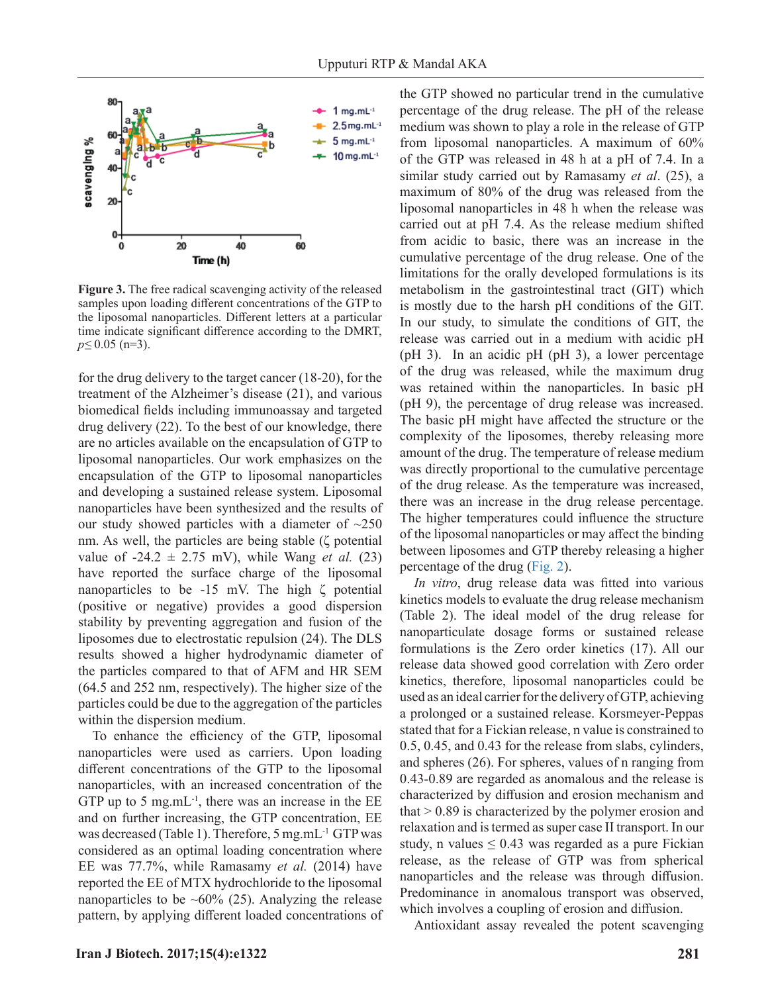

**Figure 3.** The free radical scavenging activity of the released samples upon loading different concentrations of the GTP to the liposomal nanoparticles. Different letters at a particular time indicate significant difference according to the DMRT, *p*≤ 0.05 (n=3).

for the drug delivery to the target cancer (18-20), for the treatment of the Alzheimer's disease (21), and various biomedical fields including immunoassay and targeted drug delivery (22). To the best of our knowledge, there are no articles available on the encapsulation of GTP to liposomal nanoparticles. Our work emphasizes on the encapsulation of the GTP to liposomal nanoparticles and developing a sustained release system. Liposomal nanoparticles have been synthesized and the results of our study showed particles with a diameter of ~250 nm. As well, the particles are being stable (ζ potential value of  $-24.2 \pm 2.75$  mV), while Wang *et al.* (23) have reported the surface charge of the liposomal nanoparticles to be -15 mV. The high ζ potential (positive or negative) provides a good dispersion stability by preventing aggregation and fusion of the liposomes due to electrostatic repulsion (24). The DLS results showed a higher hydrodynamic diameter of the particles compared to that of AFM and HR SEM (64.5 and 252 nm, respectively). The higher size of the particles could be due to the aggregation of the particles within the dispersion medium.

To enhance the efficiency of the GTP, liposomal nanoparticles were used as carriers. Upon loading different concentrations of the GTP to the liposomal nanoparticles, with an increased concentration of the GTP up to 5 mg.mL $^{-1}$ , there was an increase in the EE and on further increasing, the GTP concentration, EE was decreased (Table 1). Therefore, 5 mg.mL-1 GTP was considered as an optimal loading concentration where EE was 77.7%, while Ramasamy *et al.* (2014) have reported the EE of MTX hydrochloride to the liposomal nanoparticles to be  $\sim 60\%$  (25). Analyzing the release pattern, by applying different loaded concentrations of the GTP showed no particular trend in the cumulative percentage of the drug release. The pH of the release medium was shown to play a role in the release of GTP from liposomal nanoparticles. A maximum of 60% of the GTP was released in 48 h at a pH of 7.4. In a similar study carried out by Ramasamy *et al*. (25), a maximum of 80% of the drug was released from the liposomal nanoparticles in 48 h when the release was carried out at pH 7.4. As the release medium shifted from acidic to basic, there was an increase in the cumulative percentage of the drug release. One of the limitations for the orally developed formulations is its metabolism in the gastrointestinal tract (GIT) which is mostly due to the harsh pH conditions of the GIT. In our study, to simulate the conditions of GIT, the release was carried out in a medium with acidic pH (pH 3). In an acidic pH (pH 3), a lower percentage of the drug was released, while the maximum drug was retained within the nanoparticles. In basic pH (pH 9), the percentage of drug release was increased. The basic pH might have affected the structure or the complexity of the liposomes, thereby releasing more amount of the drug. The temperature of release medium was directly proportional to the cumulative percentage of the drug release. As the temperature was increased, there was an increase in the drug release percentage. The higher temperatures could influence the structure of the liposomal nanoparticles or may affect the binding between liposomes and GTP thereby releasing a higher percentage of the drug (Fig. 2).

*In vitro*, drug release data was fitted into various kinetics models to evaluate the drug release mechanism (Table 2). The ideal model of the drug release for nanoparticulate dosage forms or sustained release formulations is the Zero order kinetics (17). All our release data showed good correlation with Zero order kinetics, therefore, liposomal nanoparticles could be used as an ideal carrier for the delivery of GTP, achieving a prolonged or a sustained release. Korsmeyer-Peppas stated that for a Fickian release, n value is constrained to 0.5, 0.45, and 0.43 for the release from slabs, cylinders, and spheres (26). For spheres, values of n ranging from 0.43-0.89 are regarded as anomalous and the release is characterized by diffusion and erosion mechanism and that  $> 0.89$  is characterized by the polymer erosion and relaxation and is termed as super case II transport. In our study, n values  $\leq 0.43$  was regarded as a pure Fickian release, as the release of GTP was from spherical nanoparticles and the release was through diffusion. Predominance in anomalous transport was observed, which involves a coupling of erosion and diffusion.

Antioxidant assay revealed the potent scavenging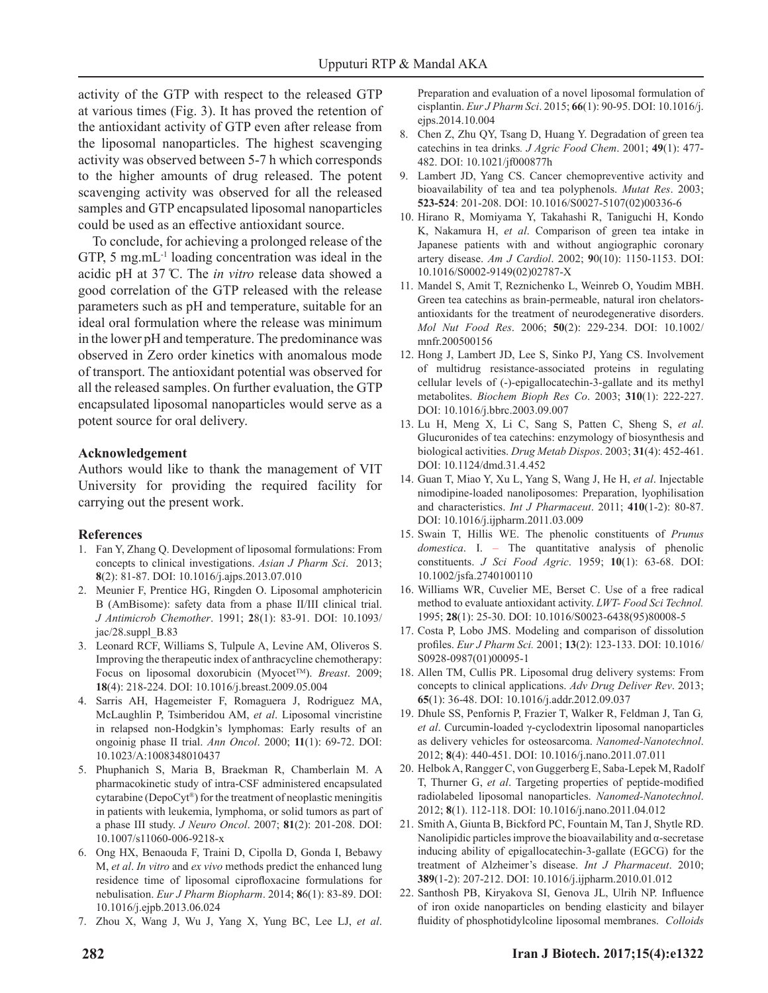activity of the GTP with respect to the released GTP at various times (Fig. 3). It has proved the retention of the antioxidant activity of GTP even after release from the liposomal nanoparticles. The highest scavenging activity was observed between 5-7 h which corresponds to the higher amounts of drug released. The potent scavenging activity was observed for all the released samples and GTP encapsulated liposomal nanoparticles could be used as an effective antioxidant source.

To conclude, for achieving a prolonged release of the GTP, 5 mg.mL-1 loading concentration was ideal in the acidic pH at 37 ̊C. The *in vitro* release data showed a good correlation of the GTP released with the release parameters such as pH and temperature, suitable for an ideal oral formulation where the release was minimum in the lower pH and temperature. The predominance was observed in Zero order kinetics with anomalous mode of transport. The antioxidant potential was observed for all the released samples. On further evaluation, the GTP encapsulated liposomal nanoparticles would serve as a potent source for oral delivery.

## **Acknowledgement**

Authors would like to thank the management of VIT University for providing the required facility for carrying out the present work.

## **References**

- 1. Fan Y, Zhang Q. Development of liposomal formulations: From concepts to clinical investigations. *Asian J Pharm Sci*. 2013; **8**(2): 81-87. DOI: 10.1016/j.ajps.2013.07.010
- 2. Meunier F, Prentice HG, Ringden O. Liposomal amphotericin B (AmBisome): safety data from a phase II/III clinical trial. *J Antimicrob Chemother*. 1991; **2**8(1): 83-91. DOI: 10.1093/ jac/28.suppl\_B.83
- 3. Leonard RCF, Williams S, Tulpule A, Levine AM, Oliveros S. Improving the therapeutic index of anthracycline chemotherapy: Focus on liposomal doxorubicin (Myocet™). *Breast*. 2009; **18**(4): 218-224. DOI: 10.1016/j.breast.2009.05.004
- 4. Sarris AH, Hagemeister F, Romaguera J, Rodriguez MA, McLaughlin P, Tsimberidou AM, *et al*. Liposomal vincristine in relapsed non-Hodgkin's lymphomas: Early results of an ongoinig phase II trial. *Ann Oncol*. 2000; **11**(1): 69-72. DOI: 10.1023/A:1008348010437
- 5. Phuphanich S, Maria B, Braekman R, Chamberlain M. A pharmacokinetic study of intra-CSF administered encapsulated cytarabine (DepoCyt®) for the treatment of neoplastic meningitis in patients with leukemia, lymphoma, or solid tumors as part of a phase III study. *J Neuro Oncol*. 2007; **81**(2): 201-208. DOI: 10.1007/s11060-006-9218-x
- 6. Ong HX, Benaouda F, Traini D, Cipolla D, Gonda I, Bebawy M, *et al*. *In vitro* and *ex vivo* methods predict the enhanced lung residence time of liposomal ciprofloxacine formulations for nebulisation. *Eur J Pharm Biopharm*. 2014; **8**6(1): 83-89. DOI: 10.1016/j.ejpb.2013.06.024
- 7. Zhou X, Wang J, Wu J, Yang X, Yung BC, Lee LJ, *et al*.

Preparation and evaluation of a novel liposomal formulation of cisplantin. *Eur J Pharm Sci*. 2015; **66**(1): 90-95. DOI: 10.1016/j. ejps.2014.10.004

- 8. Chen Z, Zhu QY, Tsang D, Huang Y. Degradation of green tea catechins in tea drinks*. J Agric Food Chem*. 2001; **49**(1): 477- 482. DOI: 10.1021/jf000877h
- 9. Lambert JD, Yang CS. Cancer chemopreventive activity and bioavailability of tea and tea polyphenols. *Mutat Res*. 2003; **523-524**: 201-208. DOI: 10.1016/S0027-5107(02)00336-6
- 10. Hirano R, Momiyama Y, Takahashi R, Taniguchi H, Kondo K, Nakamura H, *et al*. Comparison of green tea intake in Japanese patients with and without angiographic coronary artery disease. *Am J Cardiol*. 2002; **9**0(10): 1150-1153. DOI: 10.1016/S0002-9149(02)02787-X
- 11. Mandel S, Amit T, Reznichenko L, Weinreb O, Youdim MBH. Green tea catechins as brain-permeable, natural iron chelatorsantioxidants for the treatment of neurodegenerative disorders. *Mol Nut Food Res*. 2006; **50**(2): 229-234. DOI: 10.1002/ mnfr.200500156
- 12. Hong J, Lambert JD, Lee S, Sinko PJ, Yang CS. Involvement of multidrug resistance-associated proteins in regulating cellular levels of (-)-epigallocatechin-3-gallate and its methyl metabolites. *Biochem Bioph Res Co*. 2003; **310**(1): 222-227. DOI: 10.1016/j.bbrc.2003.09.007
- 13. Lu H, Meng X, Li C, Sang S, Patten C, Sheng S, *et al*. Glucuronides of tea catechins: enzymology of biosynthesis and biological activities. *Drug Metab Dispos*. 2003; **31**(4): 452-461. DOI: 10.1124/dmd.31.4.452
- 14. Guan T, Miao Y, Xu L, Yang S, Wang J, He H, *et al*. Injectable nimodipine-loaded nanoliposomes: Preparation, lyophilisation and characteristics. *Int J Pharmaceut*. 2011; **410**(1-2): 80-87. DOI: 10.1016/j.ijpharm.2011.03.009
- 15. Swain T, Hillis WE. The phenolic constituents of *Prunus domestica*. I. – The quantitative analysis of phenolic constituents. *J Sci Food Agric*. 1959; **10**(1): 63-68. DOI: 10.1002/jsfa.2740100110
- 16. Williams WR, Cuvelier ME, Berset C. Use of a free radical method to evaluate antioxidant activity. *LWT- Food Sci Technol.* 1995; **28**(1): 25-30. DOI: 10.1016/S0023-6438(95)80008-5
- 17. Costa P, Lobo JMS. Modeling and comparison of dissolution profi les. *Eur J Pharm Sci.* 2001; **13**(2): 123-133. DOI: 10.1016/ S0928-0987(01)00095-1
- 18. Allen TM, Cullis PR. Liposomal drug delivery systems: From concepts to clinical applications. *Adv Drug Deliver Rev*. 2013; **65**(1): 36-48. DOI: 10.1016/j.addr.2012.09.037
- 19. Dhule SS, Penfornis P, Frazier T, Walker R, Feldman J, Tan G*, et al*. Curcumin-loaded γ-cyclodextrin liposomal nanoparticles as delivery vehicles for osteosarcoma. *Nanomed-Nanotechnol*. 2012; **8**(4): 440-451. DOI: 10.1016/j.nano.2011.07.011
- 20. Helbok A, Rangger C, von Guggerberg E, Saba-Lepek M, Radolf T, Thurner G, et al. Targeting properties of peptide-modified radiolabeled liposomal nanoparticles. *Nanomed-Nanotechnol*. 2012; **8**(1). 112-118. DOI: 10.1016/j.nano.2011.04.012
- 21. Smith A, Giunta B, Bickford PC, Fountain M, Tan J, Shytle RD. Nanolipidic particles improve the bioavailability and α-secretase inducing ability of epigallocatechin-3-gallate (EGCG) for the treatment of Alzheimer's disease. *Int J Pharmaceut*. 2010; **389**(1-2): 207-212. DOI: 10.1016/j.ijpharm.2010.01.012
- 22. Santhosh PB, Kiryakova SI, Genova JL, Ulrih NP. Influence of iron oxide nanoparticles on bending elasticity and bilayer fluidity of phosphotidylcoline liposomal membranes. *Colloids*